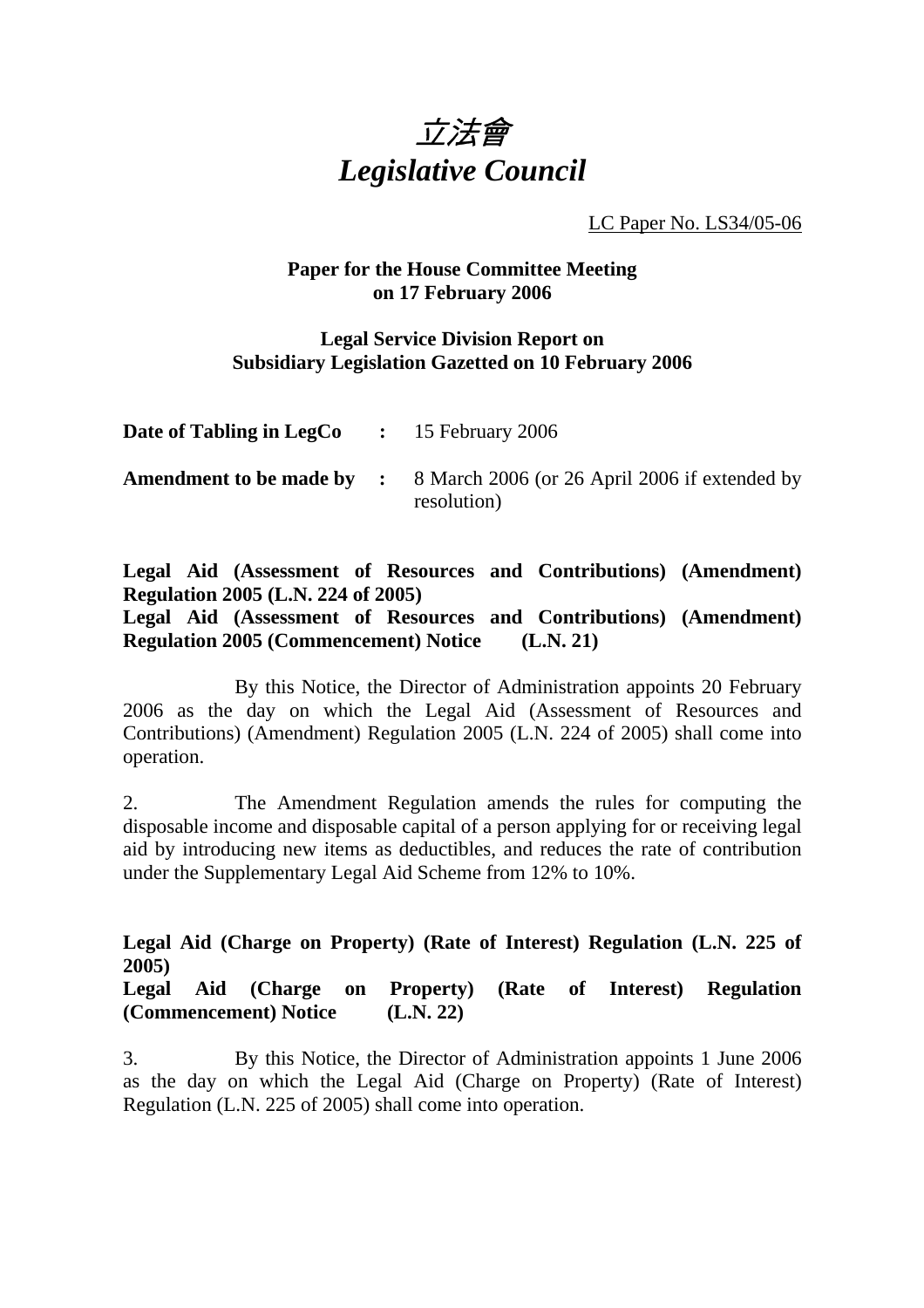

LC Paper No. LS34/05-06

## **Paper for the House Committee Meeting on 17 February 2006**

## **Legal Service Division Report on Subsidiary Legislation Gazetted on 10 February 2006**

| <b>Date of Tabling in LegCo</b> : 15 February 2006 |                                                                                               |
|----------------------------------------------------|-----------------------------------------------------------------------------------------------|
|                                                    | <b>Amendment to be made by :</b> 8 March 2006 (or 26 April 2006 if extended by<br>resolution) |

## **Legal Aid (Assessment of Resources and Contributions) (Amendment) Regulation 2005 (L.N. 224 of 2005)**

**Legal Aid (Assessment of Resources and Contributions) (Amendment) Regulation 2005 (Commencement) Notice (L.N. 21)** 

1. By this Notice, the Director of Administration appoints 20 February 2006 as the day on which the Legal Aid (Assessment of Resources and Contributions) (Amendment) Regulation 2005 (L.N. 224 of 2005) shall come into operation.

2. The Amendment Regulation amends the rules for computing the disposable income and disposable capital of a person applying for or receiving legal aid by introducing new items as deductibles, and reduces the rate of contribution under the Supplementary Legal Aid Scheme from 12% to 10%.

## **Legal Aid (Charge on Property) (Rate of Interest) Regulation (L.N. 225 of 2005)**

**Legal Aid (Charge on Property) (Rate of Interest) Regulation (Commencement) Notice (L.N. 22)** 

3. By this Notice, the Director of Administration appoints 1 June 2006 as the day on which the Legal Aid (Charge on Property) (Rate of Interest) Regulation (L.N. 225 of 2005) shall come into operation.